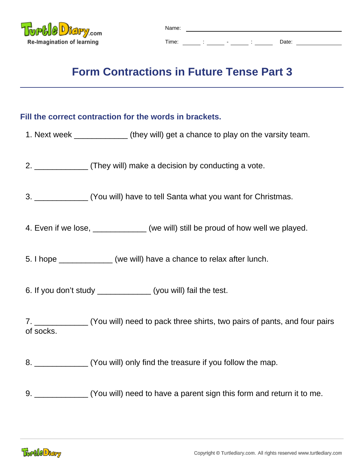

## **Form Contractions in Future Tense Part 3**

## **Fill the correct contraction for the words in brackets.**

- 1. Next week \_\_\_\_\_\_\_\_\_\_\_\_ (they will) get a chance to play on the varsity team.
- 2. \_\_\_\_\_\_\_\_\_\_\_\_ (They will) make a decision by conducting a vote.

3. \_\_\_\_\_\_\_\_\_\_\_\_ (You will) have to tell Santa what you want for Christmas.

4. Even if we lose, \_\_\_\_\_\_\_\_\_\_\_ (we will) still be proud of how well we played.

5. I hope \_\_\_\_\_\_\_\_\_\_\_\_ (we will) have a chance to relax after lunch.

6. If you don't study (you will) fail the test.

7. \_\_\_\_\_\_\_\_\_\_\_\_ (You will) need to pack three shirts, two pairs of pants, and four pairs of socks.

8. \_\_\_\_\_\_\_\_\_\_\_\_\_\_\_ (You will) only find the treasure if you follow the map.

9. \_\_\_\_\_\_\_\_\_\_\_\_ (You will) need to have a parent sign this form and return it to me.